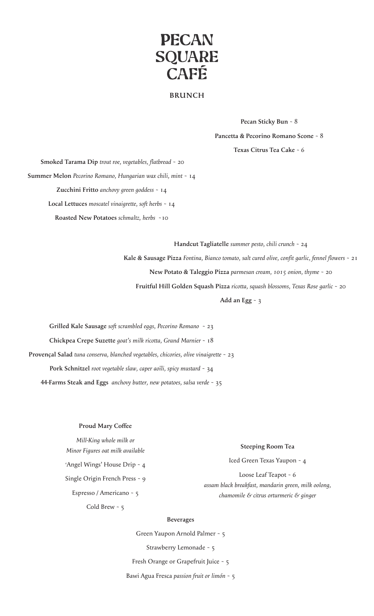# **PECAN SQUARE** CAFÉ

## **BRUNCH**

**Pecan Sticky Bun** ~ 8 **Pancetta & Pecorino Romano Scone** ~ 8 **Texas Citrus Tea Cake** ~ 6

 **Smoked Tarama Dip** *trout roe, vegetables, flatbread* ~ 20 **Summer Melon** *Pecorino Romano, Hungarian wax chili, mint* ~ 14 **Zucchini Fritto** *anchovy green goddess* ~ 14 **Local Lettuces** *moscatel vinaigrette, soft herbs* ~ 14 **Roasted New Potatoes** *schmaltz, herbs* ~10

> **Handcut Tagliatelle** *summer pesto, chili crunch* ~ 24 **Kale & Sausage Pizza** *Fontina, Bianco tomato, salt cured olive, confit garlic, fennel flowers* ~ 21 **New Potato & Taleggio Pizza** *parmesan cream, 1015 onion, thyme* ~ 20 **Fruitful Hill Golden Squash Pizza** *ricotta, squash blossoms, Texas Rose garlic* ~ 20

> > **Add an Egg** ~ 3

**Grilled Kale Sausage** *soft scrambled eggs, Pecorino Romano* ~ 23 **Chickpea Crepe Suzette** *goat's milk ricotta, Grand Marnier* ~ 18 **Provençal Salad** *tuna conserva, blanched vegetables, chicories, olive vinaigrette* ~ 23 **Pork Schnitzel** *root vegetable slaw, caper aoïli, spicy mustard* ~ 34 **44-Farms Steak and Eggs** *anchovy butter, new potatoes, salsa verde* ~ 35

#### **Proud Mary Coffee**

*Mill-King whole milk or Minor Figures oat milk available* 'Angel Wings' House Drip ~ 4 Single Origin French Press ~ 9 Espresso / Americano ~ 5 Cold Brew ~ 5

#### **Steeping Room Tea**

Iced Green Texas Yaupon ~ 4

Loose Leaf Teapot ~ 6 *assam black breakfast, mandarin green, milk oolong, chamomile & citrus orturmeric & ginger* 

#### **Beverages**

Green Yaupon Arnold Palmer ~ 5

Strawberry Lemonade ~ 5

Fresh Orange or Grapefruit Juice ~ 5

Bawi Agua Fresca *passion fruit or limón* ~ 5